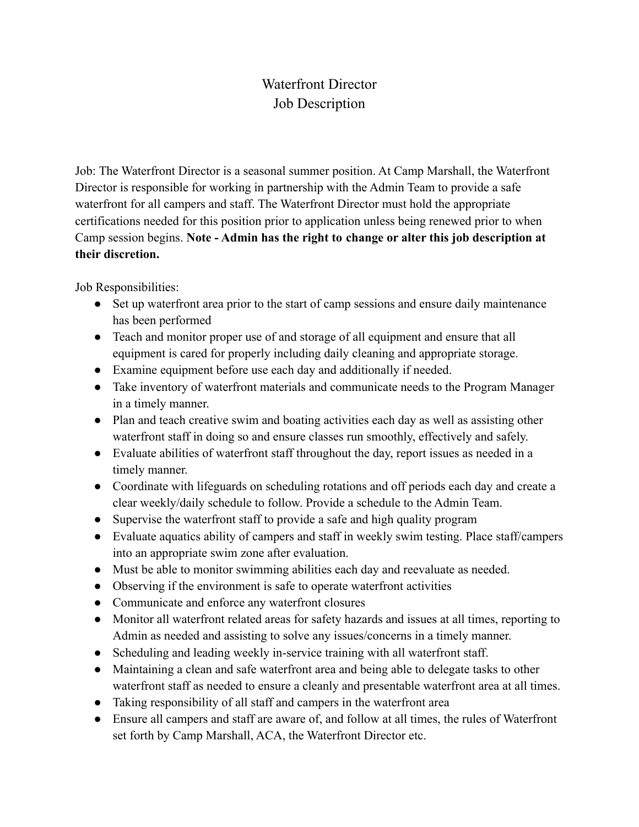## Waterfront Director Job Description

Job: The Waterfront Director is a seasonal summer position. At Camp Marshall, the Waterfront Director is responsible for working in partnership with the Admin Team to provide a safe waterfront for all campers and staff. The Waterfront Director must hold the appropriate certifications needed for this position prior to application unless being renewed prior to when Camp session begins. **Note - Admin has the right to change or alter this job description at their discretion.**

Job Responsibilities:

- Set up waterfront area prior to the start of camp sessions and ensure daily maintenance has been performed
- Teach and monitor proper use of and storage of all equipment and ensure that all equipment is cared for properly including daily cleaning and appropriate storage.
- Examine equipment before use each day and additionally if needed.
- Take inventory of waterfront materials and communicate needs to the Program Manager in a timely manner.
- Plan and teach creative swim and boating activities each day as well as assisting other waterfront staff in doing so and ensure classes run smoothly, effectively and safely.
- Evaluate abilities of waterfront staff throughout the day, report issues as needed in a timely manner.
- Coordinate with lifeguards on scheduling rotations and off periods each day and create a clear weekly/daily schedule to follow. Provide a schedule to the Admin Team.
- Supervise the waterfront staff to provide a safe and high quality program
- Evaluate aquatics ability of campers and staff in weekly swim testing. Place staff/campers into an appropriate swim zone after evaluation.
- Must be able to monitor swimming abilities each day and reevaluate as needed.
- Observing if the environment is safe to operate waterfront activities
- Communicate and enforce any waterfront closures
- Monitor all waterfront related areas for safety hazards and issues at all times, reporting to Admin as needed and assisting to solve any issues/concerns in a timely manner.
- Scheduling and leading weekly in-service training with all waterfront staff.
- Maintaining a clean and safe waterfront area and being able to delegate tasks to other waterfront staff as needed to ensure a cleanly and presentable waterfront area at all times.
- Taking responsibility of all staff and campers in the waterfront area
- Ensure all campers and staff are aware of, and follow at all times, the rules of Waterfront set forth by Camp Marshall, ACA, the Waterfront Director etc.